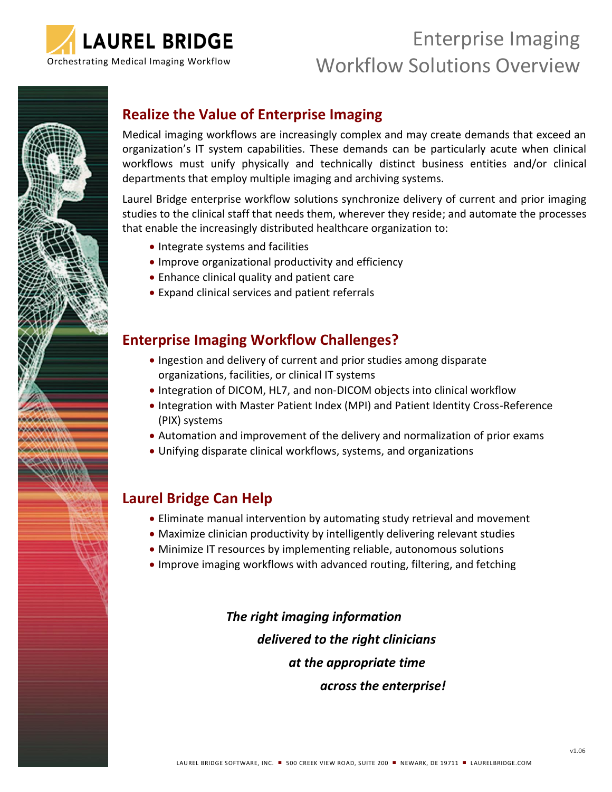

# Enterprise Imaging Orchestrating Medical Imaging Workflow Morkflow Solutions Overview



# **Realize the Value of Enterprise Imaging**

Medical imaging workflows are increasingly complex and may create demands that exceed an organization's IT system capabilities. These demands can be particularly acute when clinical workflows must unify physically and technically distinct business entities and/or clinical departments that employ multiple imaging and archiving systems.

Laurel Bridge enterprise workflow solutions synchronize delivery of current and prior imaging studies to the clinical staff that needs them, wherever they reside; and automate the processes that enable the increasingly distributed healthcare organization to:

- Integrate systems and facilities
- Improve organizational productivity and efficiency
- Enhance clinical quality and patient care
- Expand clinical services and patient referrals

# **Enterprise Imaging Workflow Challenges?**

- Ingestion and delivery of current and prior studies among disparate organizations, facilities, or clinical IT systems
- Integration of DICOM, HL7, and non-DICOM objects into clinical workflow
- Integration with Master Patient Index (MPI) and Patient Identity Cross-Reference (PIX) systems
- Automation and improvement of the delivery and normalization of prior exams
- Unifying disparate clinical workflows, systems, and organizations

# **Laurel Bridge Can Help**

- Eliminate manual intervention by automating study retrieval and movement
- Maximize clinician productivity by intelligently delivering relevant studies
- Minimize IT resources by implementing reliable, autonomous solutions
- Improve imaging workflows with advanced routing, filtering, and fetching

*The right imaging information delivered to the right clinicians at the appropriate time across the enterprise!*